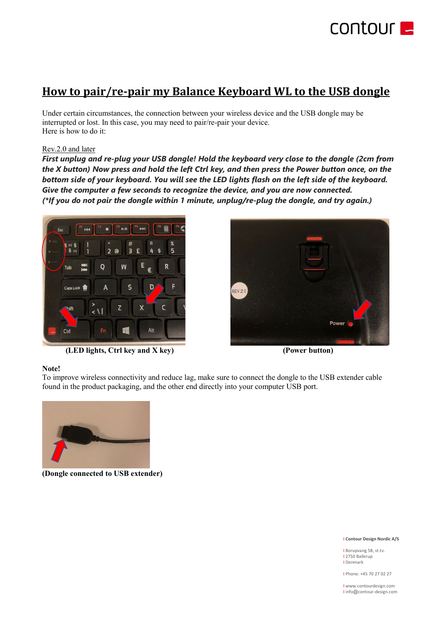

# **How to pair/re-pair my Balance Keyboard WL to the USB dongle**

Under certain circumstances, the connection between your wireless device and the USB dongle may be interrupted or lost. In this case, you may need to pair/re-pair your device. Here is how to do it:

# Rev.2.0 and later

*First unplug and re-plug your USB dongle! Hold the keyboard very close to the dongle (2cm from the X button) Now press and hold the left Ctrl key, and then press the Power button once, on the bottom side of your keyboard. You will see the LED lights flash on the left side of the keyboard. Give the computer a few seconds to recognize the device, and you are now connected. (\*If you do not pair the dongle within 1 minute, unplug/re-plug the dongle, and try again.)*



 **(LED lights, Ctrl key and X key) (Power button)**



### **Note!**

To improve wireless connectivity and reduce lag, make sure to connect the dongle to the USB extender cable found in the product packaging, and the other end directly into your computer USB port.



**(Dongle connected to USB extender)**

#### I **Contour Design Nordic A/S**

I Borupvang 5B, st.tv. I 2750 Ballerup I Denmark

I Phone: +45 70 27 02 27

I www.contourdesign.com I info@contour-design.com